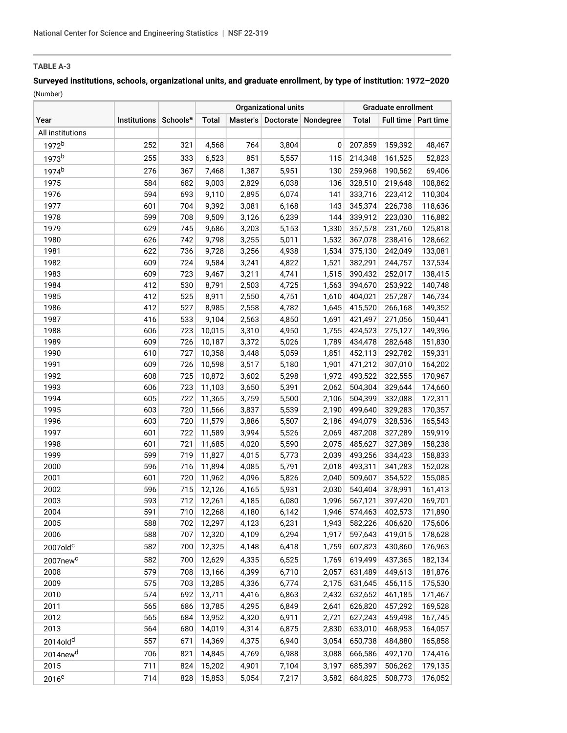# **Surveyed institutions, schools, organizational units, and graduate enrollment, by type of institution: 1972–2020** (Number)

| Master's Doctorate Nondegree<br>Total<br><b>Total</b><br>Full time   Part time<br>Year<br>Institutions Schools <sup>a</sup><br>All institutions<br>1972 <sup>b</sup><br>252<br>321<br>4,568<br>764<br>3,804<br>0<br>207,859<br>159,392<br>1973b<br>255<br>851<br>333<br>6,523<br>5,557<br>115<br>214,348<br>161,525<br>1974 <sup>b</sup><br>276<br>367<br>7,468<br>1,387<br>5,951<br>130<br>259,968<br>190,562<br>69,406<br>584<br>1975<br>682<br>2,829<br>136<br>328,510<br>108,862<br>9,003<br>6,038<br>219,648<br>594<br>333,716<br>1976<br>693<br>9,110<br>2,895<br>6,074<br>141<br>223,412<br>110,304<br>1977<br>601<br>704<br>9,392<br>6,168<br>143<br>345,374<br>3,081<br>226,738<br>118,636<br>599<br>1978<br>708<br>9,509<br>3,126<br>6,239<br>144<br>339,912<br>223,030<br>116,882<br>1979<br>629<br>9,686<br>3,203<br>1,330<br>357,578<br>125,818<br>745<br>5,153<br>231,760<br>1980<br>626<br>742<br>9,798<br>3,255<br>1,532<br>367,078<br>128,662<br>5,011<br>238,416<br>622<br>3,256<br>1981<br>736<br>9,728<br>4,938<br>1,534<br>375,130<br>242,049<br>133,081<br>609<br>724<br>9,584<br>4,822<br>382,291<br>244,757<br>137,534<br>1982<br>3,241<br>1,521<br>609<br>723<br>1,515<br>390,432<br>252,017<br>138,415<br>1983<br>9,467<br>3,211<br>4,741<br>412<br>1984<br>530<br>8,791<br>2,503<br>4,725<br>1,563<br>394,670<br>253,922<br>140,748<br>1985<br>412<br>525<br>2,550<br>8,911<br>4,751<br>1,610<br>404,021<br>257,287<br>146,734<br>412<br>1986<br>527<br>8,985<br>2,558<br>4,782<br>1,645<br>415,520<br>266,168<br>149,352<br>416<br>2,563<br>1987<br>533<br>9,104<br>4,850<br>1,691<br>421,497<br>271,056<br>723<br>10,015<br>3,310<br>1,755<br>149,396<br>1988<br>606<br>4,950<br>424,523<br>275,127<br>609<br>726<br>3,372<br>1989<br>10,187<br>5,026<br>1,789<br>434,478<br>282,648<br>1990<br>610<br>727<br>3,448<br>5,059<br>452,113<br>292,782<br>10,358<br>1,851<br>1991<br>609<br>726<br>10,598<br>3,517<br>5,180<br>1,901<br>164,202<br>471,212<br>307,010<br>608<br>725<br>5,298<br>1992<br>10,872<br>3,602<br>1,972<br>493,522<br>322,555<br>606<br>723<br>3,650<br>5,391<br>1993<br>11,103<br>2,062<br>504,304<br>329,644<br>605<br>722<br>3,759<br>5,500<br>504,399<br>172,311<br>1994<br>11,365<br>2,106<br>332,088<br>603<br>5,539<br>499,640<br>170,357<br>1995<br>720<br>11,566<br>3,837<br>2,190<br>329,283<br>1996<br>603<br>720<br>11,579<br>3,886<br>5,507<br>494,079<br>165,543<br>2,186<br>328,536<br>601<br>722<br>1997<br>11,589<br>3,994<br>5,526<br>2,069<br>487,208<br>327,289<br>159,919<br>601<br>5,590<br>2,075<br>1998<br>721<br>11,685<br>4,020<br>485,627<br>327,389<br>158,238<br>599<br>719<br>4,015<br>5,773<br>2,039<br>1999<br>11,827<br>493,256<br>334,423<br>158,833<br>596<br>2000<br>716<br>11,894<br>4,085<br>5,791<br>2,018<br>493,311<br>341,283<br>152,028<br>601<br>720<br>11,962<br>4,096<br>5,826<br>2,040<br>509,607<br>155,085<br>2001<br>354,522<br>2002<br>596<br>715<br>5,931<br>12,126<br>4,165<br>2,030<br>540,404<br>378,991<br>161,413<br>593<br>712<br>12,261<br>1,996<br>2003<br>4,185<br>6,080<br>567,121<br>397,420<br>169,701<br>591<br>2004<br>710<br>4,180<br>1,946<br>402,573<br>12,268<br>6,142<br>574,463<br>171,890<br>588<br>12,297<br>582,226<br>406,620<br>2005<br>702<br>4,123<br>6,231<br>1,943<br>2006<br>588<br>12,320<br>6,294<br>597,643<br>419,015<br>707<br>4,109<br>1,917<br>582<br>700<br>12,325<br>6,418<br>1,759<br>607,823<br>430,860<br>2007old <sup>c</sup><br>4,148<br>582<br>700<br>12,629<br>6,525<br>1,769<br>619,499<br>437,365<br>4,335<br>2007new <sup>c</sup><br>579<br>2008<br>708<br>13,166<br>4,399<br>6,710<br>2,057<br>631,489<br>449,613<br>575<br>13,285<br>4,336<br>6,774<br>2,175<br>631,645<br>456,115<br>2009<br>703<br>574<br>2010<br>692<br>13,711<br>4,416<br>6,863<br>2,432<br>632,652<br>461,185<br>2011<br>565<br>686<br>13,785<br>4,295<br>626,820<br>457,292<br>6,849<br>2,641<br>169,528<br>565<br>2012<br>684<br>13,952<br>4,320<br>6,911<br>2,721<br>627,243<br>459,498<br>564<br>14,019<br>2013<br>680<br>4,314<br>6,875<br>633,010<br>468,953<br>2,830<br>2014old <sup>d</sup><br>557<br>671<br>14,369<br>4,375<br>6,940<br>3,054<br>650,738<br>484,880<br>2014new <sup>d</sup><br>706<br>14,845<br>4,769<br>6,988<br>3,088<br>666,586<br>492,170<br>821<br>2015<br>711<br>824<br>15,202<br>7,104<br>3,197<br>685,397<br>506,262<br>4,901<br>828<br>15,853<br>5,054<br>714<br>7,217<br>3,582<br>684,825<br>508,773 |          |  | <b>Organizational units</b> |  |  | Graduate enrollment |  |  |  |
|-----------------------------------------------------------------------------------------------------------------------------------------------------------------------------------------------------------------------------------------------------------------------------------------------------------------------------------------------------------------------------------------------------------------------------------------------------------------------------------------------------------------------------------------------------------------------------------------------------------------------------------------------------------------------------------------------------------------------------------------------------------------------------------------------------------------------------------------------------------------------------------------------------------------------------------------------------------------------------------------------------------------------------------------------------------------------------------------------------------------------------------------------------------------------------------------------------------------------------------------------------------------------------------------------------------------------------------------------------------------------------------------------------------------------------------------------------------------------------------------------------------------------------------------------------------------------------------------------------------------------------------------------------------------------------------------------------------------------------------------------------------------------------------------------------------------------------------------------------------------------------------------------------------------------------------------------------------------------------------------------------------------------------------------------------------------------------------------------------------------------------------------------------------------------------------------------------------------------------------------------------------------------------------------------------------------------------------------------------------------------------------------------------------------------------------------------------------------------------------------------------------------------------------------------------------------------------------------------------------------------------------------------------------------------------------------------------------------------------------------------------------------------------------------------------------------------------------------------------------------------------------------------------------------------------------------------------------------------------------------------------------------------------------------------------------------------------------------------------------------------------------------------------------------------------------------------------------------------------------------------------------------------------------------------------------------------------------------------------------------------------------------------------------------------------------------------------------------------------------------------------------------------------------------------------------------------------------------------------------------------------------------------------------------------------------------------------------------------------------------------------------------------------------------------------------------------------------------------------------------------------------------------------------------------------------------------------------------------------------------------------------------------------------------------------------------------------------------------------------------------------------------------------------------------------------------------------------------------------------------------------------------------------------------------------------------------------------------------------------------------------------------------------------------------------------------------------------------------|----------|--|-----------------------------|--|--|---------------------|--|--|--|
| 48,467<br>52,823<br>150,441<br>151,830<br>159,331<br>170,967<br>174,660<br>175,606<br>178,628<br>176,963<br>182,134<br>181,876<br>175,530<br>171,467<br>167,745<br>164,057<br>165,858<br>174,416<br>179,135<br>176,052                                                                                                                                                                                                                                                                                                                                                                                                                                                                                                                                                                                                                                                                                                                                                                                                                                                                                                                                                                                                                                                                                                                                                                                                                                                                                                                                                                                                                                                                                                                                                                                                                                                                                                                                                                                                                                                                                                                                                                                                                                                                                                                                                                                                                                                                                                                                                                                                                                                                                                                                                                                                                                                                                                                                                                                                                                                                                                                                                                                                                                                                                                                                                                                                                                                                                                                                                                                                                                                                                                                                                                                                                                                                                                                                                                                                                                                                                                                                                                                                                                                                                                                                                                                                                                                |          |  |                             |  |  |                     |  |  |  |
|                                                                                                                                                                                                                                                                                                                                                                                                                                                                                                                                                                                                                                                                                                                                                                                                                                                                                                                                                                                                                                                                                                                                                                                                                                                                                                                                                                                                                                                                                                                                                                                                                                                                                                                                                                                                                                                                                                                                                                                                                                                                                                                                                                                                                                                                                                                                                                                                                                                                                                                                                                                                                                                                                                                                                                                                                                                                                                                                                                                                                                                                                                                                                                                                                                                                                                                                                                                                                                                                                                                                                                                                                                                                                                                                                                                                                                                                                                                                                                                                                                                                                                                                                                                                                                                                                                                                                                                                                                                                       |          |  |                             |  |  |                     |  |  |  |
|                                                                                                                                                                                                                                                                                                                                                                                                                                                                                                                                                                                                                                                                                                                                                                                                                                                                                                                                                                                                                                                                                                                                                                                                                                                                                                                                                                                                                                                                                                                                                                                                                                                                                                                                                                                                                                                                                                                                                                                                                                                                                                                                                                                                                                                                                                                                                                                                                                                                                                                                                                                                                                                                                                                                                                                                                                                                                                                                                                                                                                                                                                                                                                                                                                                                                                                                                                                                                                                                                                                                                                                                                                                                                                                                                                                                                                                                                                                                                                                                                                                                                                                                                                                                                                                                                                                                                                                                                                                                       |          |  |                             |  |  |                     |  |  |  |
|                                                                                                                                                                                                                                                                                                                                                                                                                                                                                                                                                                                                                                                                                                                                                                                                                                                                                                                                                                                                                                                                                                                                                                                                                                                                                                                                                                                                                                                                                                                                                                                                                                                                                                                                                                                                                                                                                                                                                                                                                                                                                                                                                                                                                                                                                                                                                                                                                                                                                                                                                                                                                                                                                                                                                                                                                                                                                                                                                                                                                                                                                                                                                                                                                                                                                                                                                                                                                                                                                                                                                                                                                                                                                                                                                                                                                                                                                                                                                                                                                                                                                                                                                                                                                                                                                                                                                                                                                                                                       |          |  |                             |  |  |                     |  |  |  |
|                                                                                                                                                                                                                                                                                                                                                                                                                                                                                                                                                                                                                                                                                                                                                                                                                                                                                                                                                                                                                                                                                                                                                                                                                                                                                                                                                                                                                                                                                                                                                                                                                                                                                                                                                                                                                                                                                                                                                                                                                                                                                                                                                                                                                                                                                                                                                                                                                                                                                                                                                                                                                                                                                                                                                                                                                                                                                                                                                                                                                                                                                                                                                                                                                                                                                                                                                                                                                                                                                                                                                                                                                                                                                                                                                                                                                                                                                                                                                                                                                                                                                                                                                                                                                                                                                                                                                                                                                                                                       |          |  |                             |  |  |                     |  |  |  |
|                                                                                                                                                                                                                                                                                                                                                                                                                                                                                                                                                                                                                                                                                                                                                                                                                                                                                                                                                                                                                                                                                                                                                                                                                                                                                                                                                                                                                                                                                                                                                                                                                                                                                                                                                                                                                                                                                                                                                                                                                                                                                                                                                                                                                                                                                                                                                                                                                                                                                                                                                                                                                                                                                                                                                                                                                                                                                                                                                                                                                                                                                                                                                                                                                                                                                                                                                                                                                                                                                                                                                                                                                                                                                                                                                                                                                                                                                                                                                                                                                                                                                                                                                                                                                                                                                                                                                                                                                                                                       |          |  |                             |  |  |                     |  |  |  |
|                                                                                                                                                                                                                                                                                                                                                                                                                                                                                                                                                                                                                                                                                                                                                                                                                                                                                                                                                                                                                                                                                                                                                                                                                                                                                                                                                                                                                                                                                                                                                                                                                                                                                                                                                                                                                                                                                                                                                                                                                                                                                                                                                                                                                                                                                                                                                                                                                                                                                                                                                                                                                                                                                                                                                                                                                                                                                                                                                                                                                                                                                                                                                                                                                                                                                                                                                                                                                                                                                                                                                                                                                                                                                                                                                                                                                                                                                                                                                                                                                                                                                                                                                                                                                                                                                                                                                                                                                                                                       |          |  |                             |  |  |                     |  |  |  |
|                                                                                                                                                                                                                                                                                                                                                                                                                                                                                                                                                                                                                                                                                                                                                                                                                                                                                                                                                                                                                                                                                                                                                                                                                                                                                                                                                                                                                                                                                                                                                                                                                                                                                                                                                                                                                                                                                                                                                                                                                                                                                                                                                                                                                                                                                                                                                                                                                                                                                                                                                                                                                                                                                                                                                                                                                                                                                                                                                                                                                                                                                                                                                                                                                                                                                                                                                                                                                                                                                                                                                                                                                                                                                                                                                                                                                                                                                                                                                                                                                                                                                                                                                                                                                                                                                                                                                                                                                                                                       |          |  |                             |  |  |                     |  |  |  |
|                                                                                                                                                                                                                                                                                                                                                                                                                                                                                                                                                                                                                                                                                                                                                                                                                                                                                                                                                                                                                                                                                                                                                                                                                                                                                                                                                                                                                                                                                                                                                                                                                                                                                                                                                                                                                                                                                                                                                                                                                                                                                                                                                                                                                                                                                                                                                                                                                                                                                                                                                                                                                                                                                                                                                                                                                                                                                                                                                                                                                                                                                                                                                                                                                                                                                                                                                                                                                                                                                                                                                                                                                                                                                                                                                                                                                                                                                                                                                                                                                                                                                                                                                                                                                                                                                                                                                                                                                                                                       |          |  |                             |  |  |                     |  |  |  |
|                                                                                                                                                                                                                                                                                                                                                                                                                                                                                                                                                                                                                                                                                                                                                                                                                                                                                                                                                                                                                                                                                                                                                                                                                                                                                                                                                                                                                                                                                                                                                                                                                                                                                                                                                                                                                                                                                                                                                                                                                                                                                                                                                                                                                                                                                                                                                                                                                                                                                                                                                                                                                                                                                                                                                                                                                                                                                                                                                                                                                                                                                                                                                                                                                                                                                                                                                                                                                                                                                                                                                                                                                                                                                                                                                                                                                                                                                                                                                                                                                                                                                                                                                                                                                                                                                                                                                                                                                                                                       |          |  |                             |  |  |                     |  |  |  |
|                                                                                                                                                                                                                                                                                                                                                                                                                                                                                                                                                                                                                                                                                                                                                                                                                                                                                                                                                                                                                                                                                                                                                                                                                                                                                                                                                                                                                                                                                                                                                                                                                                                                                                                                                                                                                                                                                                                                                                                                                                                                                                                                                                                                                                                                                                                                                                                                                                                                                                                                                                                                                                                                                                                                                                                                                                                                                                                                                                                                                                                                                                                                                                                                                                                                                                                                                                                                                                                                                                                                                                                                                                                                                                                                                                                                                                                                                                                                                                                                                                                                                                                                                                                                                                                                                                                                                                                                                                                                       |          |  |                             |  |  |                     |  |  |  |
|                                                                                                                                                                                                                                                                                                                                                                                                                                                                                                                                                                                                                                                                                                                                                                                                                                                                                                                                                                                                                                                                                                                                                                                                                                                                                                                                                                                                                                                                                                                                                                                                                                                                                                                                                                                                                                                                                                                                                                                                                                                                                                                                                                                                                                                                                                                                                                                                                                                                                                                                                                                                                                                                                                                                                                                                                                                                                                                                                                                                                                                                                                                                                                                                                                                                                                                                                                                                                                                                                                                                                                                                                                                                                                                                                                                                                                                                                                                                                                                                                                                                                                                                                                                                                                                                                                                                                                                                                                                                       |          |  |                             |  |  |                     |  |  |  |
|                                                                                                                                                                                                                                                                                                                                                                                                                                                                                                                                                                                                                                                                                                                                                                                                                                                                                                                                                                                                                                                                                                                                                                                                                                                                                                                                                                                                                                                                                                                                                                                                                                                                                                                                                                                                                                                                                                                                                                                                                                                                                                                                                                                                                                                                                                                                                                                                                                                                                                                                                                                                                                                                                                                                                                                                                                                                                                                                                                                                                                                                                                                                                                                                                                                                                                                                                                                                                                                                                                                                                                                                                                                                                                                                                                                                                                                                                                                                                                                                                                                                                                                                                                                                                                                                                                                                                                                                                                                                       |          |  |                             |  |  |                     |  |  |  |
|                                                                                                                                                                                                                                                                                                                                                                                                                                                                                                                                                                                                                                                                                                                                                                                                                                                                                                                                                                                                                                                                                                                                                                                                                                                                                                                                                                                                                                                                                                                                                                                                                                                                                                                                                                                                                                                                                                                                                                                                                                                                                                                                                                                                                                                                                                                                                                                                                                                                                                                                                                                                                                                                                                                                                                                                                                                                                                                                                                                                                                                                                                                                                                                                                                                                                                                                                                                                                                                                                                                                                                                                                                                                                                                                                                                                                                                                                                                                                                                                                                                                                                                                                                                                                                                                                                                                                                                                                                                                       |          |  |                             |  |  |                     |  |  |  |
|                                                                                                                                                                                                                                                                                                                                                                                                                                                                                                                                                                                                                                                                                                                                                                                                                                                                                                                                                                                                                                                                                                                                                                                                                                                                                                                                                                                                                                                                                                                                                                                                                                                                                                                                                                                                                                                                                                                                                                                                                                                                                                                                                                                                                                                                                                                                                                                                                                                                                                                                                                                                                                                                                                                                                                                                                                                                                                                                                                                                                                                                                                                                                                                                                                                                                                                                                                                                                                                                                                                                                                                                                                                                                                                                                                                                                                                                                                                                                                                                                                                                                                                                                                                                                                                                                                                                                                                                                                                                       |          |  |                             |  |  |                     |  |  |  |
|                                                                                                                                                                                                                                                                                                                                                                                                                                                                                                                                                                                                                                                                                                                                                                                                                                                                                                                                                                                                                                                                                                                                                                                                                                                                                                                                                                                                                                                                                                                                                                                                                                                                                                                                                                                                                                                                                                                                                                                                                                                                                                                                                                                                                                                                                                                                                                                                                                                                                                                                                                                                                                                                                                                                                                                                                                                                                                                                                                                                                                                                                                                                                                                                                                                                                                                                                                                                                                                                                                                                                                                                                                                                                                                                                                                                                                                                                                                                                                                                                                                                                                                                                                                                                                                                                                                                                                                                                                                                       |          |  |                             |  |  |                     |  |  |  |
|                                                                                                                                                                                                                                                                                                                                                                                                                                                                                                                                                                                                                                                                                                                                                                                                                                                                                                                                                                                                                                                                                                                                                                                                                                                                                                                                                                                                                                                                                                                                                                                                                                                                                                                                                                                                                                                                                                                                                                                                                                                                                                                                                                                                                                                                                                                                                                                                                                                                                                                                                                                                                                                                                                                                                                                                                                                                                                                                                                                                                                                                                                                                                                                                                                                                                                                                                                                                                                                                                                                                                                                                                                                                                                                                                                                                                                                                                                                                                                                                                                                                                                                                                                                                                                                                                                                                                                                                                                                                       |          |  |                             |  |  |                     |  |  |  |
|                                                                                                                                                                                                                                                                                                                                                                                                                                                                                                                                                                                                                                                                                                                                                                                                                                                                                                                                                                                                                                                                                                                                                                                                                                                                                                                                                                                                                                                                                                                                                                                                                                                                                                                                                                                                                                                                                                                                                                                                                                                                                                                                                                                                                                                                                                                                                                                                                                                                                                                                                                                                                                                                                                                                                                                                                                                                                                                                                                                                                                                                                                                                                                                                                                                                                                                                                                                                                                                                                                                                                                                                                                                                                                                                                                                                                                                                                                                                                                                                                                                                                                                                                                                                                                                                                                                                                                                                                                                                       |          |  |                             |  |  |                     |  |  |  |
|                                                                                                                                                                                                                                                                                                                                                                                                                                                                                                                                                                                                                                                                                                                                                                                                                                                                                                                                                                                                                                                                                                                                                                                                                                                                                                                                                                                                                                                                                                                                                                                                                                                                                                                                                                                                                                                                                                                                                                                                                                                                                                                                                                                                                                                                                                                                                                                                                                                                                                                                                                                                                                                                                                                                                                                                                                                                                                                                                                                                                                                                                                                                                                                                                                                                                                                                                                                                                                                                                                                                                                                                                                                                                                                                                                                                                                                                                                                                                                                                                                                                                                                                                                                                                                                                                                                                                                                                                                                                       |          |  |                             |  |  |                     |  |  |  |
|                                                                                                                                                                                                                                                                                                                                                                                                                                                                                                                                                                                                                                                                                                                                                                                                                                                                                                                                                                                                                                                                                                                                                                                                                                                                                                                                                                                                                                                                                                                                                                                                                                                                                                                                                                                                                                                                                                                                                                                                                                                                                                                                                                                                                                                                                                                                                                                                                                                                                                                                                                                                                                                                                                                                                                                                                                                                                                                                                                                                                                                                                                                                                                                                                                                                                                                                                                                                                                                                                                                                                                                                                                                                                                                                                                                                                                                                                                                                                                                                                                                                                                                                                                                                                                                                                                                                                                                                                                                                       |          |  |                             |  |  |                     |  |  |  |
|                                                                                                                                                                                                                                                                                                                                                                                                                                                                                                                                                                                                                                                                                                                                                                                                                                                                                                                                                                                                                                                                                                                                                                                                                                                                                                                                                                                                                                                                                                                                                                                                                                                                                                                                                                                                                                                                                                                                                                                                                                                                                                                                                                                                                                                                                                                                                                                                                                                                                                                                                                                                                                                                                                                                                                                                                                                                                                                                                                                                                                                                                                                                                                                                                                                                                                                                                                                                                                                                                                                                                                                                                                                                                                                                                                                                                                                                                                                                                                                                                                                                                                                                                                                                                                                                                                                                                                                                                                                                       |          |  |                             |  |  |                     |  |  |  |
|                                                                                                                                                                                                                                                                                                                                                                                                                                                                                                                                                                                                                                                                                                                                                                                                                                                                                                                                                                                                                                                                                                                                                                                                                                                                                                                                                                                                                                                                                                                                                                                                                                                                                                                                                                                                                                                                                                                                                                                                                                                                                                                                                                                                                                                                                                                                                                                                                                                                                                                                                                                                                                                                                                                                                                                                                                                                                                                                                                                                                                                                                                                                                                                                                                                                                                                                                                                                                                                                                                                                                                                                                                                                                                                                                                                                                                                                                                                                                                                                                                                                                                                                                                                                                                                                                                                                                                                                                                                                       |          |  |                             |  |  |                     |  |  |  |
|                                                                                                                                                                                                                                                                                                                                                                                                                                                                                                                                                                                                                                                                                                                                                                                                                                                                                                                                                                                                                                                                                                                                                                                                                                                                                                                                                                                                                                                                                                                                                                                                                                                                                                                                                                                                                                                                                                                                                                                                                                                                                                                                                                                                                                                                                                                                                                                                                                                                                                                                                                                                                                                                                                                                                                                                                                                                                                                                                                                                                                                                                                                                                                                                                                                                                                                                                                                                                                                                                                                                                                                                                                                                                                                                                                                                                                                                                                                                                                                                                                                                                                                                                                                                                                                                                                                                                                                                                                                                       |          |  |                             |  |  |                     |  |  |  |
|                                                                                                                                                                                                                                                                                                                                                                                                                                                                                                                                                                                                                                                                                                                                                                                                                                                                                                                                                                                                                                                                                                                                                                                                                                                                                                                                                                                                                                                                                                                                                                                                                                                                                                                                                                                                                                                                                                                                                                                                                                                                                                                                                                                                                                                                                                                                                                                                                                                                                                                                                                                                                                                                                                                                                                                                                                                                                                                                                                                                                                                                                                                                                                                                                                                                                                                                                                                                                                                                                                                                                                                                                                                                                                                                                                                                                                                                                                                                                                                                                                                                                                                                                                                                                                                                                                                                                                                                                                                                       |          |  |                             |  |  |                     |  |  |  |
|                                                                                                                                                                                                                                                                                                                                                                                                                                                                                                                                                                                                                                                                                                                                                                                                                                                                                                                                                                                                                                                                                                                                                                                                                                                                                                                                                                                                                                                                                                                                                                                                                                                                                                                                                                                                                                                                                                                                                                                                                                                                                                                                                                                                                                                                                                                                                                                                                                                                                                                                                                                                                                                                                                                                                                                                                                                                                                                                                                                                                                                                                                                                                                                                                                                                                                                                                                                                                                                                                                                                                                                                                                                                                                                                                                                                                                                                                                                                                                                                                                                                                                                                                                                                                                                                                                                                                                                                                                                                       |          |  |                             |  |  |                     |  |  |  |
|                                                                                                                                                                                                                                                                                                                                                                                                                                                                                                                                                                                                                                                                                                                                                                                                                                                                                                                                                                                                                                                                                                                                                                                                                                                                                                                                                                                                                                                                                                                                                                                                                                                                                                                                                                                                                                                                                                                                                                                                                                                                                                                                                                                                                                                                                                                                                                                                                                                                                                                                                                                                                                                                                                                                                                                                                                                                                                                                                                                                                                                                                                                                                                                                                                                                                                                                                                                                                                                                                                                                                                                                                                                                                                                                                                                                                                                                                                                                                                                                                                                                                                                                                                                                                                                                                                                                                                                                                                                                       |          |  |                             |  |  |                     |  |  |  |
|                                                                                                                                                                                                                                                                                                                                                                                                                                                                                                                                                                                                                                                                                                                                                                                                                                                                                                                                                                                                                                                                                                                                                                                                                                                                                                                                                                                                                                                                                                                                                                                                                                                                                                                                                                                                                                                                                                                                                                                                                                                                                                                                                                                                                                                                                                                                                                                                                                                                                                                                                                                                                                                                                                                                                                                                                                                                                                                                                                                                                                                                                                                                                                                                                                                                                                                                                                                                                                                                                                                                                                                                                                                                                                                                                                                                                                                                                                                                                                                                                                                                                                                                                                                                                                                                                                                                                                                                                                                                       |          |  |                             |  |  |                     |  |  |  |
|                                                                                                                                                                                                                                                                                                                                                                                                                                                                                                                                                                                                                                                                                                                                                                                                                                                                                                                                                                                                                                                                                                                                                                                                                                                                                                                                                                                                                                                                                                                                                                                                                                                                                                                                                                                                                                                                                                                                                                                                                                                                                                                                                                                                                                                                                                                                                                                                                                                                                                                                                                                                                                                                                                                                                                                                                                                                                                                                                                                                                                                                                                                                                                                                                                                                                                                                                                                                                                                                                                                                                                                                                                                                                                                                                                                                                                                                                                                                                                                                                                                                                                                                                                                                                                                                                                                                                                                                                                                                       |          |  |                             |  |  |                     |  |  |  |
|                                                                                                                                                                                                                                                                                                                                                                                                                                                                                                                                                                                                                                                                                                                                                                                                                                                                                                                                                                                                                                                                                                                                                                                                                                                                                                                                                                                                                                                                                                                                                                                                                                                                                                                                                                                                                                                                                                                                                                                                                                                                                                                                                                                                                                                                                                                                                                                                                                                                                                                                                                                                                                                                                                                                                                                                                                                                                                                                                                                                                                                                                                                                                                                                                                                                                                                                                                                                                                                                                                                                                                                                                                                                                                                                                                                                                                                                                                                                                                                                                                                                                                                                                                                                                                                                                                                                                                                                                                                                       |          |  |                             |  |  |                     |  |  |  |
|                                                                                                                                                                                                                                                                                                                                                                                                                                                                                                                                                                                                                                                                                                                                                                                                                                                                                                                                                                                                                                                                                                                                                                                                                                                                                                                                                                                                                                                                                                                                                                                                                                                                                                                                                                                                                                                                                                                                                                                                                                                                                                                                                                                                                                                                                                                                                                                                                                                                                                                                                                                                                                                                                                                                                                                                                                                                                                                                                                                                                                                                                                                                                                                                                                                                                                                                                                                                                                                                                                                                                                                                                                                                                                                                                                                                                                                                                                                                                                                                                                                                                                                                                                                                                                                                                                                                                                                                                                                                       |          |  |                             |  |  |                     |  |  |  |
|                                                                                                                                                                                                                                                                                                                                                                                                                                                                                                                                                                                                                                                                                                                                                                                                                                                                                                                                                                                                                                                                                                                                                                                                                                                                                                                                                                                                                                                                                                                                                                                                                                                                                                                                                                                                                                                                                                                                                                                                                                                                                                                                                                                                                                                                                                                                                                                                                                                                                                                                                                                                                                                                                                                                                                                                                                                                                                                                                                                                                                                                                                                                                                                                                                                                                                                                                                                                                                                                                                                                                                                                                                                                                                                                                                                                                                                                                                                                                                                                                                                                                                                                                                                                                                                                                                                                                                                                                                                                       |          |  |                             |  |  |                     |  |  |  |
|                                                                                                                                                                                                                                                                                                                                                                                                                                                                                                                                                                                                                                                                                                                                                                                                                                                                                                                                                                                                                                                                                                                                                                                                                                                                                                                                                                                                                                                                                                                                                                                                                                                                                                                                                                                                                                                                                                                                                                                                                                                                                                                                                                                                                                                                                                                                                                                                                                                                                                                                                                                                                                                                                                                                                                                                                                                                                                                                                                                                                                                                                                                                                                                                                                                                                                                                                                                                                                                                                                                                                                                                                                                                                                                                                                                                                                                                                                                                                                                                                                                                                                                                                                                                                                                                                                                                                                                                                                                                       |          |  |                             |  |  |                     |  |  |  |
|                                                                                                                                                                                                                                                                                                                                                                                                                                                                                                                                                                                                                                                                                                                                                                                                                                                                                                                                                                                                                                                                                                                                                                                                                                                                                                                                                                                                                                                                                                                                                                                                                                                                                                                                                                                                                                                                                                                                                                                                                                                                                                                                                                                                                                                                                                                                                                                                                                                                                                                                                                                                                                                                                                                                                                                                                                                                                                                                                                                                                                                                                                                                                                                                                                                                                                                                                                                                                                                                                                                                                                                                                                                                                                                                                                                                                                                                                                                                                                                                                                                                                                                                                                                                                                                                                                                                                                                                                                                                       |          |  |                             |  |  |                     |  |  |  |
|                                                                                                                                                                                                                                                                                                                                                                                                                                                                                                                                                                                                                                                                                                                                                                                                                                                                                                                                                                                                                                                                                                                                                                                                                                                                                                                                                                                                                                                                                                                                                                                                                                                                                                                                                                                                                                                                                                                                                                                                                                                                                                                                                                                                                                                                                                                                                                                                                                                                                                                                                                                                                                                                                                                                                                                                                                                                                                                                                                                                                                                                                                                                                                                                                                                                                                                                                                                                                                                                                                                                                                                                                                                                                                                                                                                                                                                                                                                                                                                                                                                                                                                                                                                                                                                                                                                                                                                                                                                                       |          |  |                             |  |  |                     |  |  |  |
|                                                                                                                                                                                                                                                                                                                                                                                                                                                                                                                                                                                                                                                                                                                                                                                                                                                                                                                                                                                                                                                                                                                                                                                                                                                                                                                                                                                                                                                                                                                                                                                                                                                                                                                                                                                                                                                                                                                                                                                                                                                                                                                                                                                                                                                                                                                                                                                                                                                                                                                                                                                                                                                                                                                                                                                                                                                                                                                                                                                                                                                                                                                                                                                                                                                                                                                                                                                                                                                                                                                                                                                                                                                                                                                                                                                                                                                                                                                                                                                                                                                                                                                                                                                                                                                                                                                                                                                                                                                                       |          |  |                             |  |  |                     |  |  |  |
|                                                                                                                                                                                                                                                                                                                                                                                                                                                                                                                                                                                                                                                                                                                                                                                                                                                                                                                                                                                                                                                                                                                                                                                                                                                                                                                                                                                                                                                                                                                                                                                                                                                                                                                                                                                                                                                                                                                                                                                                                                                                                                                                                                                                                                                                                                                                                                                                                                                                                                                                                                                                                                                                                                                                                                                                                                                                                                                                                                                                                                                                                                                                                                                                                                                                                                                                                                                                                                                                                                                                                                                                                                                                                                                                                                                                                                                                                                                                                                                                                                                                                                                                                                                                                                                                                                                                                                                                                                                                       |          |  |                             |  |  |                     |  |  |  |
|                                                                                                                                                                                                                                                                                                                                                                                                                                                                                                                                                                                                                                                                                                                                                                                                                                                                                                                                                                                                                                                                                                                                                                                                                                                                                                                                                                                                                                                                                                                                                                                                                                                                                                                                                                                                                                                                                                                                                                                                                                                                                                                                                                                                                                                                                                                                                                                                                                                                                                                                                                                                                                                                                                                                                                                                                                                                                                                                                                                                                                                                                                                                                                                                                                                                                                                                                                                                                                                                                                                                                                                                                                                                                                                                                                                                                                                                                                                                                                                                                                                                                                                                                                                                                                                                                                                                                                                                                                                                       |          |  |                             |  |  |                     |  |  |  |
|                                                                                                                                                                                                                                                                                                                                                                                                                                                                                                                                                                                                                                                                                                                                                                                                                                                                                                                                                                                                                                                                                                                                                                                                                                                                                                                                                                                                                                                                                                                                                                                                                                                                                                                                                                                                                                                                                                                                                                                                                                                                                                                                                                                                                                                                                                                                                                                                                                                                                                                                                                                                                                                                                                                                                                                                                                                                                                                                                                                                                                                                                                                                                                                                                                                                                                                                                                                                                                                                                                                                                                                                                                                                                                                                                                                                                                                                                                                                                                                                                                                                                                                                                                                                                                                                                                                                                                                                                                                                       |          |  |                             |  |  |                     |  |  |  |
|                                                                                                                                                                                                                                                                                                                                                                                                                                                                                                                                                                                                                                                                                                                                                                                                                                                                                                                                                                                                                                                                                                                                                                                                                                                                                                                                                                                                                                                                                                                                                                                                                                                                                                                                                                                                                                                                                                                                                                                                                                                                                                                                                                                                                                                                                                                                                                                                                                                                                                                                                                                                                                                                                                                                                                                                                                                                                                                                                                                                                                                                                                                                                                                                                                                                                                                                                                                                                                                                                                                                                                                                                                                                                                                                                                                                                                                                                                                                                                                                                                                                                                                                                                                                                                                                                                                                                                                                                                                                       |          |  |                             |  |  |                     |  |  |  |
|                                                                                                                                                                                                                                                                                                                                                                                                                                                                                                                                                                                                                                                                                                                                                                                                                                                                                                                                                                                                                                                                                                                                                                                                                                                                                                                                                                                                                                                                                                                                                                                                                                                                                                                                                                                                                                                                                                                                                                                                                                                                                                                                                                                                                                                                                                                                                                                                                                                                                                                                                                                                                                                                                                                                                                                                                                                                                                                                                                                                                                                                                                                                                                                                                                                                                                                                                                                                                                                                                                                                                                                                                                                                                                                                                                                                                                                                                                                                                                                                                                                                                                                                                                                                                                                                                                                                                                                                                                                                       |          |  |                             |  |  |                     |  |  |  |
|                                                                                                                                                                                                                                                                                                                                                                                                                                                                                                                                                                                                                                                                                                                                                                                                                                                                                                                                                                                                                                                                                                                                                                                                                                                                                                                                                                                                                                                                                                                                                                                                                                                                                                                                                                                                                                                                                                                                                                                                                                                                                                                                                                                                                                                                                                                                                                                                                                                                                                                                                                                                                                                                                                                                                                                                                                                                                                                                                                                                                                                                                                                                                                                                                                                                                                                                                                                                                                                                                                                                                                                                                                                                                                                                                                                                                                                                                                                                                                                                                                                                                                                                                                                                                                                                                                                                                                                                                                                                       |          |  |                             |  |  |                     |  |  |  |
|                                                                                                                                                                                                                                                                                                                                                                                                                                                                                                                                                                                                                                                                                                                                                                                                                                                                                                                                                                                                                                                                                                                                                                                                                                                                                                                                                                                                                                                                                                                                                                                                                                                                                                                                                                                                                                                                                                                                                                                                                                                                                                                                                                                                                                                                                                                                                                                                                                                                                                                                                                                                                                                                                                                                                                                                                                                                                                                                                                                                                                                                                                                                                                                                                                                                                                                                                                                                                                                                                                                                                                                                                                                                                                                                                                                                                                                                                                                                                                                                                                                                                                                                                                                                                                                                                                                                                                                                                                                                       |          |  |                             |  |  |                     |  |  |  |
|                                                                                                                                                                                                                                                                                                                                                                                                                                                                                                                                                                                                                                                                                                                                                                                                                                                                                                                                                                                                                                                                                                                                                                                                                                                                                                                                                                                                                                                                                                                                                                                                                                                                                                                                                                                                                                                                                                                                                                                                                                                                                                                                                                                                                                                                                                                                                                                                                                                                                                                                                                                                                                                                                                                                                                                                                                                                                                                                                                                                                                                                                                                                                                                                                                                                                                                                                                                                                                                                                                                                                                                                                                                                                                                                                                                                                                                                                                                                                                                                                                                                                                                                                                                                                                                                                                                                                                                                                                                                       |          |  |                             |  |  |                     |  |  |  |
|                                                                                                                                                                                                                                                                                                                                                                                                                                                                                                                                                                                                                                                                                                                                                                                                                                                                                                                                                                                                                                                                                                                                                                                                                                                                                                                                                                                                                                                                                                                                                                                                                                                                                                                                                                                                                                                                                                                                                                                                                                                                                                                                                                                                                                                                                                                                                                                                                                                                                                                                                                                                                                                                                                                                                                                                                                                                                                                                                                                                                                                                                                                                                                                                                                                                                                                                                                                                                                                                                                                                                                                                                                                                                                                                                                                                                                                                                                                                                                                                                                                                                                                                                                                                                                                                                                                                                                                                                                                                       |          |  |                             |  |  |                     |  |  |  |
|                                                                                                                                                                                                                                                                                                                                                                                                                                                                                                                                                                                                                                                                                                                                                                                                                                                                                                                                                                                                                                                                                                                                                                                                                                                                                                                                                                                                                                                                                                                                                                                                                                                                                                                                                                                                                                                                                                                                                                                                                                                                                                                                                                                                                                                                                                                                                                                                                                                                                                                                                                                                                                                                                                                                                                                                                                                                                                                                                                                                                                                                                                                                                                                                                                                                                                                                                                                                                                                                                                                                                                                                                                                                                                                                                                                                                                                                                                                                                                                                                                                                                                                                                                                                                                                                                                                                                                                                                                                                       |          |  |                             |  |  |                     |  |  |  |
|                                                                                                                                                                                                                                                                                                                                                                                                                                                                                                                                                                                                                                                                                                                                                                                                                                                                                                                                                                                                                                                                                                                                                                                                                                                                                                                                                                                                                                                                                                                                                                                                                                                                                                                                                                                                                                                                                                                                                                                                                                                                                                                                                                                                                                                                                                                                                                                                                                                                                                                                                                                                                                                                                                                                                                                                                                                                                                                                                                                                                                                                                                                                                                                                                                                                                                                                                                                                                                                                                                                                                                                                                                                                                                                                                                                                                                                                                                                                                                                                                                                                                                                                                                                                                                                                                                                                                                                                                                                                       |          |  |                             |  |  |                     |  |  |  |
|                                                                                                                                                                                                                                                                                                                                                                                                                                                                                                                                                                                                                                                                                                                                                                                                                                                                                                                                                                                                                                                                                                                                                                                                                                                                                                                                                                                                                                                                                                                                                                                                                                                                                                                                                                                                                                                                                                                                                                                                                                                                                                                                                                                                                                                                                                                                                                                                                                                                                                                                                                                                                                                                                                                                                                                                                                                                                                                                                                                                                                                                                                                                                                                                                                                                                                                                                                                                                                                                                                                                                                                                                                                                                                                                                                                                                                                                                                                                                                                                                                                                                                                                                                                                                                                                                                                                                                                                                                                                       |          |  |                             |  |  |                     |  |  |  |
|                                                                                                                                                                                                                                                                                                                                                                                                                                                                                                                                                                                                                                                                                                                                                                                                                                                                                                                                                                                                                                                                                                                                                                                                                                                                                                                                                                                                                                                                                                                                                                                                                                                                                                                                                                                                                                                                                                                                                                                                                                                                                                                                                                                                                                                                                                                                                                                                                                                                                                                                                                                                                                                                                                                                                                                                                                                                                                                                                                                                                                                                                                                                                                                                                                                                                                                                                                                                                                                                                                                                                                                                                                                                                                                                                                                                                                                                                                                                                                                                                                                                                                                                                                                                                                                                                                                                                                                                                                                                       |          |  |                             |  |  |                     |  |  |  |
|                                                                                                                                                                                                                                                                                                                                                                                                                                                                                                                                                                                                                                                                                                                                                                                                                                                                                                                                                                                                                                                                                                                                                                                                                                                                                                                                                                                                                                                                                                                                                                                                                                                                                                                                                                                                                                                                                                                                                                                                                                                                                                                                                                                                                                                                                                                                                                                                                                                                                                                                                                                                                                                                                                                                                                                                                                                                                                                                                                                                                                                                                                                                                                                                                                                                                                                                                                                                                                                                                                                                                                                                                                                                                                                                                                                                                                                                                                                                                                                                                                                                                                                                                                                                                                                                                                                                                                                                                                                                       | $2016^e$ |  |                             |  |  |                     |  |  |  |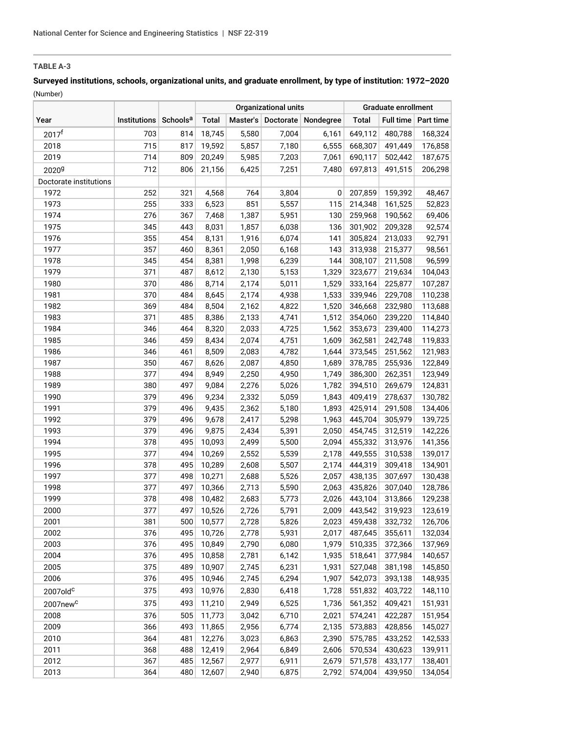# **Surveyed institutions, schools, organizational units, and graduate enrollment, by type of institution: 1972–2020** (Number)

|                        |                                   |     | <b>Organizational units</b> |       |       | Graduate enrollment          |              |         |                       |
|------------------------|-----------------------------------|-----|-----------------------------|-------|-------|------------------------------|--------------|---------|-----------------------|
| Year                   | Institutions Schools <sup>a</sup> |     | <b>Total</b>                |       |       | Master's Doctorate Nondegree | <b>Total</b> |         | Full time   Part time |
| 2017 <sup>f</sup>      | 703                               | 814 | 18,745                      | 5,580 | 7,004 | 6,161                        | 649,112      | 480,788 | 168,324               |
| 2018                   | 715                               | 817 | 19,592                      | 5,857 | 7,180 | 6,555                        | 668,307      | 491,449 | 176,858               |
| 2019                   | 714                               | 809 | 20,249                      | 5,985 | 7,203 | 7,061                        | 690,117      | 502,442 | 187,675               |
| 2020 <sup>g</sup>      | 712                               | 806 | 21,156                      | 6,425 | 7,251 | 7,480                        | 697,813      | 491,515 | 206,298               |
| Doctorate institutions |                                   |     |                             |       |       |                              |              |         |                       |
| 1972                   | 252                               | 321 | 4,568                       | 764   | 3,804 | 0                            | 207,859      | 159,392 | 48,467                |
| 1973                   | 255                               | 333 | 6,523                       | 851   | 5,557 | 115                          | 214,348      | 161,525 | 52,823                |
| 1974                   | 276                               | 367 | 7,468                       | 1,387 | 5,951 | 130                          | 259,968      | 190,562 | 69,406                |
| 1975                   | 345                               | 443 | 8,031                       | 1,857 | 6,038 | 136                          | 301,902      | 209,328 | 92,574                |
| 1976                   | 355                               | 454 | 8,131                       | 1,916 | 6,074 | 141                          | 305,824      | 213,033 | 92,791                |
| 1977                   | 357                               | 460 | 8,361                       | 2,050 | 6,168 | 143                          | 313,938      | 215,377 | 98,561                |
| 1978                   | 345                               | 454 | 8,381                       | 1,998 | 6,239 | 144                          | 308,107      | 211,508 | 96,599                |
| 1979                   | 371                               | 487 | 8,612                       | 2,130 | 5,153 | 1,329                        | 323,677      | 219,634 | 104,043               |
| 1980                   | 370                               | 486 | 8,714                       | 2,174 | 5,011 | 1,529                        | 333,164      | 225,877 | 107,287               |
| 1981                   | 370                               | 484 | 8,645                       | 2,174 | 4,938 | 1,533                        | 339,946      | 229,708 | 110,238               |
| 1982                   | 369                               | 484 | 8,504                       | 2,162 | 4,822 | 1,520                        | 346,668      | 232,980 | 113,688               |
| 1983                   | 371                               | 485 | 8,386                       | 2,133 | 4,741 | 1,512                        | 354,060      | 239,220 | 114,840               |
| 1984                   | 346                               | 464 | 8,320                       | 2,033 | 4,725 | 1,562                        | 353,673      | 239,400 | 114,273               |
| 1985                   | 346                               | 459 | 8,434                       | 2,074 | 4,751 | 1,609                        | 362,581      | 242,748 | 119,833               |
| 1986                   | 346                               | 461 | 8,509                       | 2,083 | 4,782 | 1,644                        | 373,545      | 251,562 | 121,983               |
| 1987                   | 350                               | 467 | 8,626                       | 2,087 | 4,850 | 1,689                        | 378,785      | 255,936 | 122,849               |
| 1988                   | 377                               | 494 | 8,949                       | 2,250 | 4,950 | 1,749                        | 386,300      | 262,351 | 123,949               |
| 1989                   | 380                               | 497 | 9,084                       | 2,276 | 5,026 | 1,782                        | 394,510      | 269,679 | 124,831               |
| 1990                   | 379                               | 496 | 9,234                       | 2,332 | 5,059 | 1,843                        | 409,419      | 278,637 | 130,782               |
| 1991                   | 379                               | 496 | 9,435                       | 2,362 | 5,180 | 1,893                        | 425,914      | 291,508 | 134,406               |
| 1992                   | 379                               | 496 | 9,678                       | 2,417 | 5,298 | 1,963                        | 445,704      | 305,979 | 139,725               |
| 1993                   | 379                               | 496 | 9,875                       | 2,434 | 5,391 | 2,050                        | 454,745      | 312,519 | 142,226               |
| 1994                   | 378                               | 495 | 10,093                      | 2,499 | 5,500 | 2,094                        | 455,332      | 313,976 | 141,356               |
| 1995                   | 377                               | 494 | 10,269                      | 2,552 | 5,539 | 2,178                        | 449,555      | 310,538 | 139,017               |
| 1996                   | 378                               | 495 | 10,289                      | 2,608 | 5,507 | 2,174                        | 444,319      | 309,418 | 134,901               |
| 1997                   | 377                               | 498 | 10,271                      | 2,688 | 5,526 | 2,057                        | 438,135      | 307,697 | 130,438               |
| 1998                   | 377                               | 497 | 10,366                      | 2,713 | 5,590 | 2,063                        | 435,826      | 307,040 | 128,786               |
| 1999                   | 378                               | 498 | 10,482                      | 2,683 | 5,773 | 2,026                        | 443,104      | 313,866 | 129,238               |
| 2000                   | 377                               | 497 | 10,526                      | 2,726 | 5,791 | 2,009                        | 443,542      | 319,923 | 123,619               |
| 2001                   | 381                               | 500 | 10,577                      | 2,728 | 5,826 | 2,023                        | 459,438      | 332,732 | 126,706               |
| 2002                   | 376                               | 495 | 10,726                      | 2,778 | 5,931 | 2,017                        | 487,645      | 355,611 | 132,034               |
| 2003                   | 376                               | 495 | 10,849                      | 2,790 | 6,080 | 1,979                        | 510,335      | 372,366 | 137,969               |
| 2004                   | 376                               | 495 | 10,858                      | 2,781 | 6,142 | 1,935                        | 518,641      | 377,984 | 140,657               |
| 2005                   | 375                               | 489 | 10,907                      | 2,745 | 6,231 | 1,931                        | 527,048      | 381,198 | 145,850               |
| 2006                   | 376                               | 495 | 10,946                      | 2,745 | 6,294 | 1,907                        | 542,073      | 393,138 | 148,935               |
| 2007old <sup>c</sup>   | 375                               | 493 | 10,976                      | 2,830 | 6,418 | 1,728                        | 551,832      | 403,722 | 148,110               |
| 2007new <sup>c</sup>   | 375                               | 493 | 11,210                      | 2,949 | 6,525 | 1,736                        | 561,352      | 409,421 | 151,931               |
| 2008                   | 376                               | 505 | 11,773                      | 3,042 | 6,710 | 2,021                        | 574,241      | 422,287 | 151,954               |
| 2009                   | 366                               | 493 | 11,865                      | 2,956 | 6,774 | 2,135                        | 573,883      | 428,856 | 145,027               |
| 2010                   | 364                               | 481 | 12,276                      | 3,023 | 6,863 | 2,390                        | 575,785      | 433,252 | 142,533               |
| 2011                   | 368                               | 488 | 12,419                      | 2,964 | 6,849 | 2,606                        | 570,534      | 430,623 | 139,911               |
| 2012                   | 367                               | 485 | 12,567                      | 2,977 | 6,911 | 2,679                        | 571,578      | 433,177 | 138,401               |
| 2013                   | 364                               | 480 | 12,607                      | 2,940 | 6,875 | 2,792                        | 574,004      | 439,950 | 134,054               |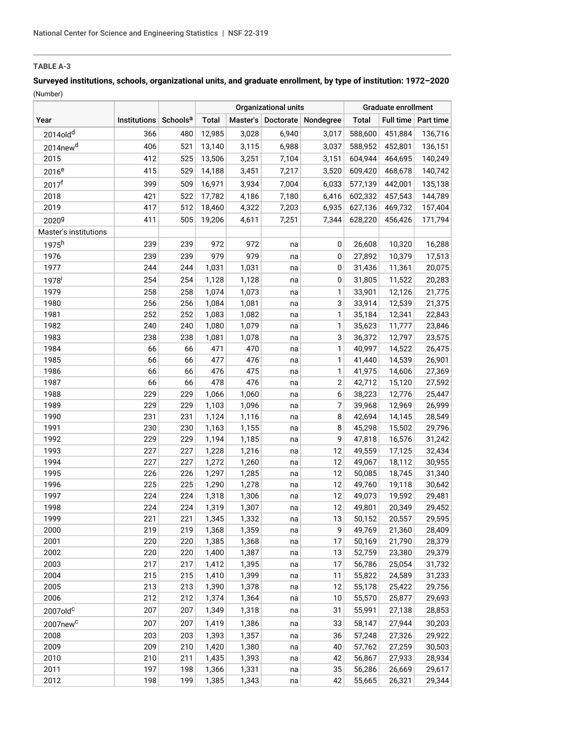# **Surveyed institutions, schools, organizational units, and graduate enrollment, by type of institution: 1972–2020** (Number)

|                       |                     |                      | <b>Organizational units</b> |                |          | Graduate enrollment          |                  |                  |                       |
|-----------------------|---------------------|----------------------|-----------------------------|----------------|----------|------------------------------|------------------|------------------|-----------------------|
| Year                  | <b>Institutions</b> | Schools <sup>a</sup> | <b>Total</b>                |                |          | Master's Doctorate Nondegree | <b>Total</b>     |                  | Full time   Part time |
| 2014old <sup>d</sup>  | 366                 | 480                  | 12,985                      | 3,028          | 6,940    | 3,017                        | 588,600          | 451,884          | 136,716               |
| 2014new <sup>d</sup>  | 406                 | 521                  | 13,140                      | 3,115          | 6,988    | 3,037                        | 588,952          | 452,801          | 136,151               |
| 2015                  | 412                 | 525                  | 13,506                      | 3,251          | 7,104    | 3,151                        | 604,944          | 464,695          | 140,249               |
| 2016 <sup>e</sup>     | 415                 | 529                  | 14,188                      | 3,451          | 7,217    | 3,520                        | 609,420          | 468,678          | 140,742               |
| 2017 <sup>f</sup>     | 399                 | 509                  | 16,971                      | 3,934          | 7,004    | 6,033                        | 577,139          | 442,001          | 135,138               |
| 2018                  | 421                 | 522                  | 17,782                      | 4,186          | 7,180    | 6,416                        | 602,332          | 457,543          | 144,789               |
| 2019                  | 417                 | 512                  | 18,460                      | 4,322          | 7,203    | 6,935                        | 627,136          | 469,732          | 157,404               |
| 2020 <sup>g</sup>     | 411                 | 505                  | 19,206                      | 4,611          | 7,251    | 7,344                        | 628,220          | 456,426          | 171,794               |
| Master's institutions |                     |                      |                             |                |          |                              |                  |                  |                       |
| 1975h                 | 239                 | 239                  | 972                         | 972            | na       | 0                            | 26,608           | 10,320           | 16,288                |
| 1976                  | 239                 | 239                  | 979                         | 979            | na       | 0                            | 27,892           | 10,379           | 17,513                |
| 1977                  | 244                 | 244                  | 1,031                       | 1,031          | na       | 0                            | 31,436           | 11,361           | 20,075                |
| 1978 <sup>i</sup>     | 254                 | 254                  | 1,128                       | 1,128          | na       | $\pmb{0}$                    | 31,805           | 11,522           | 20,283                |
| 1979                  | 258                 | 258                  | 1,074                       | 1,073          | na       | 1                            | 33,901           | 12,126           | 21,775                |
| 1980                  | 256                 | 256                  | 1,084                       | 1,081          | na       | 3                            | 33,914           | 12,539           | 21,375                |
| 1981                  | 252                 | 252                  | 1,083                       | 1,082          | na       | 1                            | 35,184           | 12,341           | 22,843                |
| 1982                  | 240                 | 240                  | 1,080                       | 1,079          | na       | 1                            | 35,623           | 11,777           | 23,846                |
| 1983                  | 238                 | 238                  | 1,081                       | 1,078          | na       | 3                            | 36,372           | 12,797           | 23,575                |
| 1984                  | 66                  | 66                   | 471                         | 470            | na       | 1                            | 40,997           | 14,522           | 26,475                |
| 1985                  | 66                  | 66                   | 477                         | 476            | na       | 1                            | 41,440           | 14,539           | 26,901                |
| 1986                  | 66                  | 66                   | 476                         | 475            | na       | 1                            | 41,975           | 14,606           | 27,369                |
| 1987                  | 66                  | 66                   | 478                         | 476            | na       | 2                            | 42,712           | 15,120           | 27,592                |
| 1988                  | 229                 | 229                  | 1,066                       | 1,060          | na       | 6                            | 38,223           | 12,776           | 25,447                |
| 1989                  | 229                 | 229                  | 1,103                       | 1,096          | na       | 7                            | 39,968           | 12,969           | 26,999                |
| 1990                  | 231                 | 231                  | 1,124                       | 1,116          | na       | 8                            | 42,694           | 14,145           | 28,549                |
| 1991                  | 230                 | 230                  | 1,163                       | 1,155          | na       | 8                            | 45,298           | 15,502           | 29,796                |
| 1992                  | 229                 | 229                  | 1,194                       | 1,185          | na       | 9                            | 47,818           | 16,576           | 31,242                |
| 1993                  | 227                 | 227                  | 1,228                       | 1,216          | na       | 12                           | 49,559           | 17,125           | 32,434                |
| 1994                  | 227                 | 227                  | 1,272                       | 1,260          | na       | 12                           | 49,067           | 18,112           | 30,955                |
| 1995                  | 226                 | 226                  | 1,297                       | 1,285          | na       | 12                           | 50,085           | 18,745           | 31,340                |
| 1996<br>1997          | 225<br>224          | 225<br>224           | 1,290                       | 1,278          | na       | 12<br>12                     | 49,760<br>49,073 | 19,118<br>19,592 | 30,642<br>29,481      |
| 1998                  | 224                 | 224                  | 1,318<br>1,319              | 1,306<br>1,307 | na<br>na | 12                           | 49,801           | 20,349           | 29,452                |
| 1999                  | 221                 | 221                  | 1,345                       | 1,332          | na       | 13                           | 50,152           | 20,557           | 29,595                |
| 2000                  | 219                 | 219                  | 1,368                       | 1,359          | na       | 9                            | 49,769           | 21,360           | 28,409                |
| 2001                  | 220                 | 220                  | 1,385                       | 1,368          | na       | 17                           | 50,169           | 21,790           | 28,379                |
| 2002                  | 220                 | 220                  | 1,400                       | 1,387          | na       | 13                           | 52,759           | 23,380           | 29,379                |
| 2003                  | 217                 | 217                  | 1,412                       | 1,395          | na       | 17                           | 56,786           | 25,054           | 31,732                |
| 2004                  | 215                 | 215                  | 1,410                       | 1,399          | na       | 11                           | 55,822           | 24,589           | 31,233                |
| 2005                  | 213                 | 213                  | 1,390                       | 1,378          | na       | 12                           | 55,178           | 25,422           | 29,756                |
| 2006                  | 212                 | 212                  | 1,374                       | 1,364          | na       | 10                           | 55,570           | 25,877           | 29,693                |
| $2007$ old $c$        | 207                 | 207                  | 1,349                       | 1,318          | na       | 31                           | 55,991           | 27,138           | 28,853                |
| 2007new <sup>c</sup>  | 207                 | 207                  | 1,419                       | 1,386          | na       | 33                           | 58,147           | 27,944           | 30,203                |
| 2008                  | 203                 | 203                  | 1,393                       | 1,357          | na       | 36                           | 57,248           | 27,326           | 29,922                |
| 2009                  | 209                 | 210                  | 1,420                       | 1,380          | na       | 40                           | 57,762           | 27,259           | 30,503                |
| 2010                  | 210                 | 211                  | 1,435                       | 1,393          | na       | 42                           | 56,867           | 27,933           | 28,934                |
| 2011                  | 197                 | 198                  | 1,366                       | 1,331          | na       | 35                           | 56,286           | 26,669           | 29,617                |
| 2012                  | 198                 | 199                  | 1,385                       | 1,343          | na       | 42                           | 55,665           | 26,321           | 29,344                |